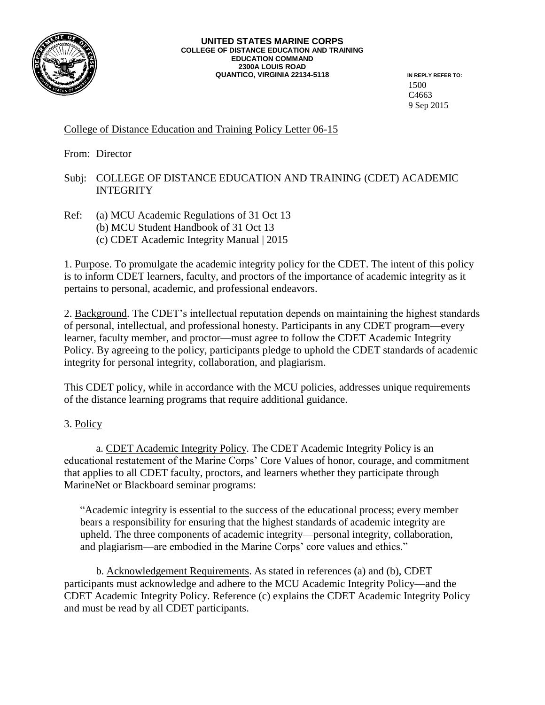

## **UNITED STATES MARINE CORPS COLLEGE OF DISTANCE EDUCATION AND TRAINING EDUCATION COMMAND 2300A LOUIS ROAD QUANTICO, VIRGINIA 22134-5118 IN REPLY REFER TO:**

1500 C4663 9 Sep 2015

## College of Distance Education and Training Policy Letter 06-15

From: Director

## Subj: COLLEGE OF DISTANCE EDUCATION AND TRAINING (CDET) ACADEMIC **INTEGRITY**

Ref: (a) MCU Academic Regulations of 31 Oct 13 (b) MCU Student Handbook of 31 Oct 13 (c) CDET Academic Integrity Manual | 2015

1. Purpose. To promulgate the academic integrity policy for the CDET. The intent of this policy is to inform CDET learners, faculty, and proctors of the importance of academic integrity as it pertains to personal, academic, and professional endeavors.

2. Background. The CDET's intellectual reputation depends on maintaining the highest standards of personal, intellectual, and professional honesty. Participants in any CDET program—every learner, faculty member, and proctor—must agree to follow the CDET Academic Integrity Policy. By agreeing to the policy, participants pledge to uphold the CDET standards of academic integrity for personal integrity, collaboration, and plagiarism.

This CDET policy, while in accordance with the MCU policies, addresses unique requirements of the distance learning programs that require additional guidance.

3. Policy

a. CDET Academic Integrity Policy. The CDET Academic Integrity Policy is an educational restatement of the Marine Corps' Core Values of honor, courage, and commitment that applies to all CDET faculty, proctors, and learners whether they participate through MarineNet or Blackboard seminar programs:

"Academic integrity is essential to the success of the educational process; every member bears a responsibility for ensuring that the highest standards of academic integrity are upheld. The three components of academic integrity—personal integrity, collaboration, and plagiarism—are embodied in the Marine Corps' core values and ethics."

b. Acknowledgement Requirements. As stated in references (a) and (b), CDET participants must acknowledge and adhere to the MCU Academic Integrity Policy—and the CDET Academic Integrity Policy. Reference (c) explains the CDET Academic Integrity Policy and must be read by all CDET participants.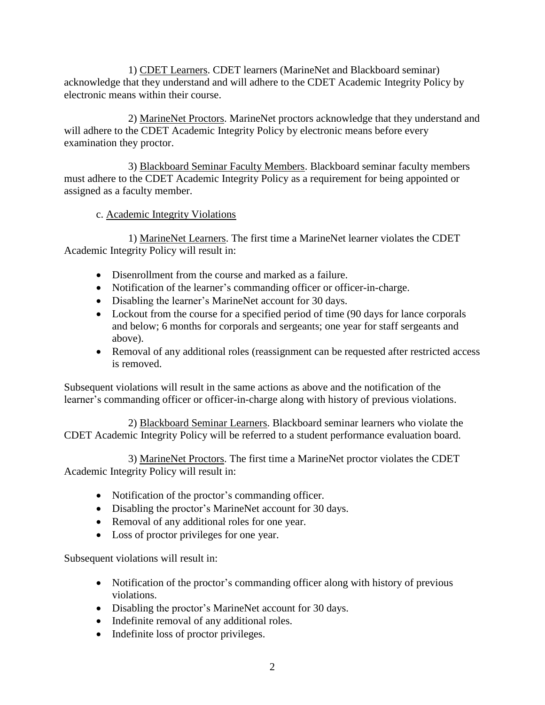1) CDET Learners. CDET learners (MarineNet and Blackboard seminar) acknowledge that they understand and will adhere to the CDET Academic Integrity Policy by electronic means within their course.

2) MarineNet Proctors. MarineNet proctors acknowledge that they understand and will adhere to the CDET Academic Integrity Policy by electronic means before every examination they proctor.

3) Blackboard Seminar Faculty Members. Blackboard seminar faculty members must adhere to the CDET Academic Integrity Policy as a requirement for being appointed or assigned as a faculty member.

## c. Academic Integrity Violations

1) MarineNet Learners. The first time a MarineNet learner violates the CDET Academic Integrity Policy will result in:

- Disenrollment from the course and marked as a failure.
- Notification of the learner's commanding officer or officer-in-charge.
- Disabling the learner's MarineNet account for 30 days.
- Lockout from the course for a specified period of time (90 days for lance corporals and below; 6 months for corporals and sergeants; one year for staff sergeants and above).
- Removal of any additional roles (reassignment can be requested after restricted access is removed.

Subsequent violations will result in the same actions as above and the notification of the learner's commanding officer or officer-in-charge along with history of previous violations.

2) Blackboard Seminar Learners. Blackboard seminar learners who violate the CDET Academic Integrity Policy will be referred to a student performance evaluation board.

3) MarineNet Proctors. The first time a MarineNet proctor violates the CDET Academic Integrity Policy will result in:

- Notification of the proctor's commanding officer.
- Disabling the proctor's MarineNet account for 30 days.
- Removal of any additional roles for one year.
- Loss of proctor privileges for one year.

Subsequent violations will result in:

- Notification of the proctor's commanding officer along with history of previous violations.
- Disabling the proctor's MarineNet account for 30 days.
- Indefinite removal of any additional roles.
- Indefinite loss of proctor privileges.